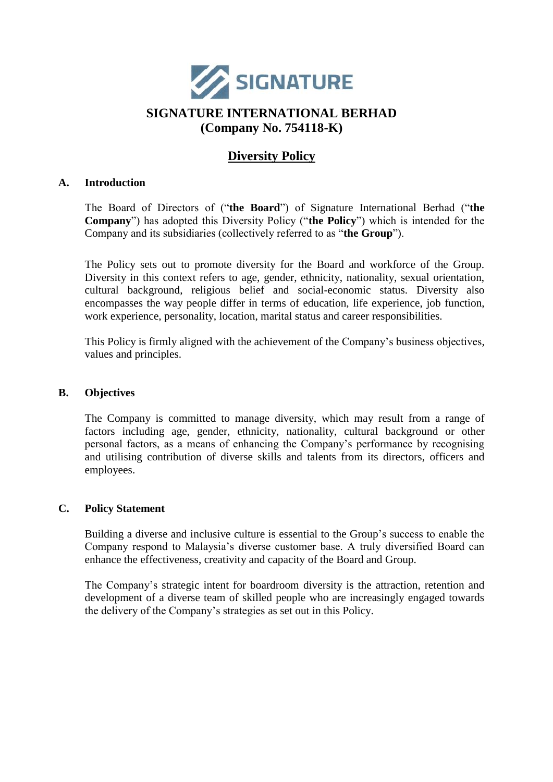

# **SIGNATURE INTERNATIONAL BERHAD (Company No. 754118-K)**

# **Diversity Policy**

#### **A. Introduction**

The Board of Directors of ("**the Board**") of Signature International Berhad ("**the Company**") has adopted this Diversity Policy ("**the Policy**") which is intended for the Company and its subsidiaries (collectively referred to as "**the Group**").

The Policy sets out to promote diversity for the Board and workforce of the Group. Diversity in this context refers to age, gender, ethnicity, nationality, sexual orientation, cultural background, religious belief and social-economic status. Diversity also encompasses the way people differ in terms of education, life experience, job function, work experience, personality, location, marital status and career responsibilities.

This Policy is firmly aligned with the achievement of the Company's business objectives, values and principles.

#### **B. Objectives**

The Company is committed to manage diversity, which may result from a range of factors including age, gender, ethnicity, nationality, cultural background or other personal factors, as a means of enhancing the Company's performance by recognising and utilising contribution of diverse skills and talents from its directors, officers and employees.

#### **C. Policy Statement**

Building a diverse and inclusive culture is essential to the Group's success to enable the Company respond to Malaysia's diverse customer base. A truly diversified Board can enhance the effectiveness, creativity and capacity of the Board and Group.

The Company's strategic intent for boardroom diversity is the attraction, retention and development of a diverse team of skilled people who are increasingly engaged towards the delivery of the Company's strategies as set out in this Policy.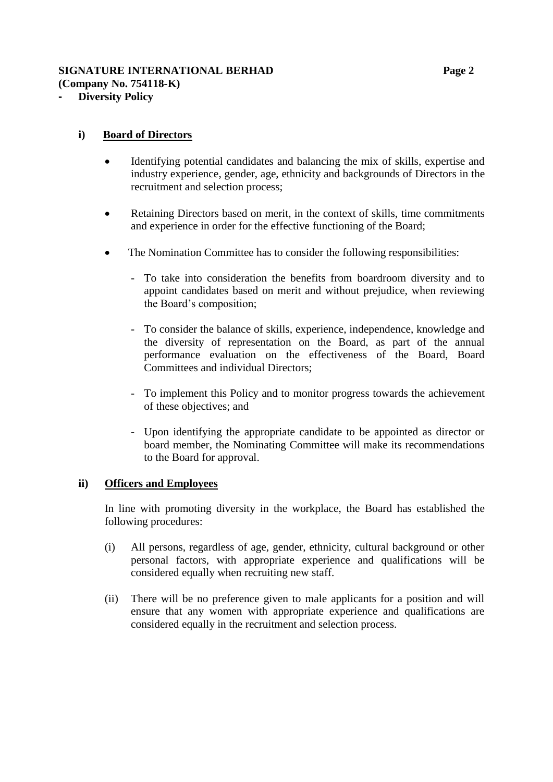## **SIGNATURE INTERNATIONAL BERHAD Page 2 (Company No. 754118-K)**

**- Diversity Policy**

### **i) Board of Directors**

- Identifying potential candidates and balancing the mix of skills, expertise and industry experience, gender, age, ethnicity and backgrounds of Directors in the recruitment and selection process;
- Retaining Directors based on merit, in the context of skills, time commitments and experience in order for the effective functioning of the Board;
- The Nomination Committee has to consider the following responsibilities:
	- To take into consideration the benefits from boardroom diversity and to appoint candidates based on merit and without prejudice, when reviewing the Board's composition;
	- To consider the balance of skills, experience, independence, knowledge and the diversity of representation on the Board, as part of the annual performance evaluation on the effectiveness of the Board, Board Committees and individual Directors;
	- To implement this Policy and to monitor progress towards the achievement of these objectives; and
	- Upon identifying the appropriate candidate to be appointed as director or board member, the Nominating Committee will make its recommendations to the Board for approval.

#### **ii) Officers and Employees**

In line with promoting diversity in the workplace, the Board has established the following procedures:

- (i) All persons, regardless of age, gender, ethnicity, cultural background or other personal factors, with appropriate experience and qualifications will be considered equally when recruiting new staff.
- (ii) There will be no preference given to male applicants for a position and will ensure that any women with appropriate experience and qualifications are considered equally in the recruitment and selection process.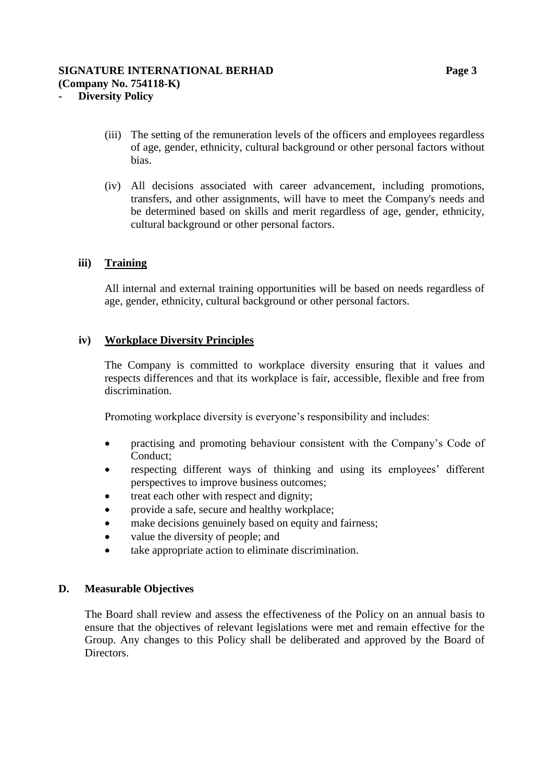- (iii) The setting of the remuneration levels of the officers and employees regardless of age, gender, ethnicity, cultural background or other personal factors without bias.
- (iv) All decisions associated with career advancement, including promotions, transfers, and other assignments, will have to meet the Company's needs and be determined based on skills and merit regardless of age, gender, ethnicity, cultural background or other personal factors.

### **iii) Training**

All internal and external training opportunities will be based on needs regardless of age, gender, ethnicity, cultural background or other personal factors.

### **iv) Workplace Diversity Principles**

The Company is committed to workplace diversity ensuring that it values and respects differences and that its workplace is fair, accessible, flexible and free from discrimination.

Promoting workplace diversity is everyone's responsibility and includes:

- practising and promoting behaviour consistent with the Company's Code of Conduct;
- respecting different ways of thinking and using its employees' different perspectives to improve business outcomes;
- treat each other with respect and dignity;
- provide a safe, secure and healthy workplace;
- make decisions genuinely based on equity and fairness;
- value the diversity of people; and
- take appropriate action to eliminate discrimination.

#### **D. Measurable Objectives**

The Board shall review and assess the effectiveness of the Policy on an annual basis to ensure that the objectives of relevant legislations were met and remain effective for the Group. Any changes to this Policy shall be deliberated and approved by the Board of Directors.